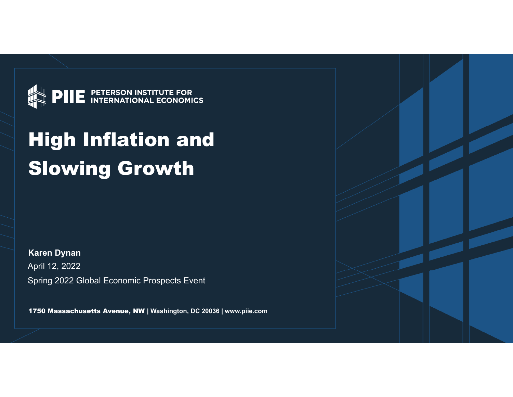

# High Inflation and Slowing Growth

**Karen Dynan** Spring 2022 Global Economic Prospects Event April 12, 2022

1750 Massachusetts Avenue, NW **| Washington, DC 20036 | www.piie.com**

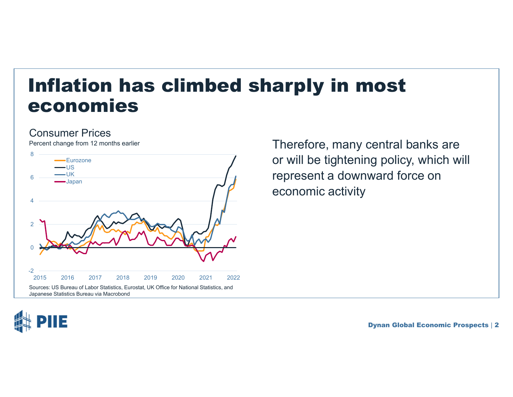#### Inflation has climbed sharply in most economies

#### Consumer Prices

Percent change from 12 months earlier



Therefore, many central banks are or will be tightening policy, which will represent a downward force on economic activity

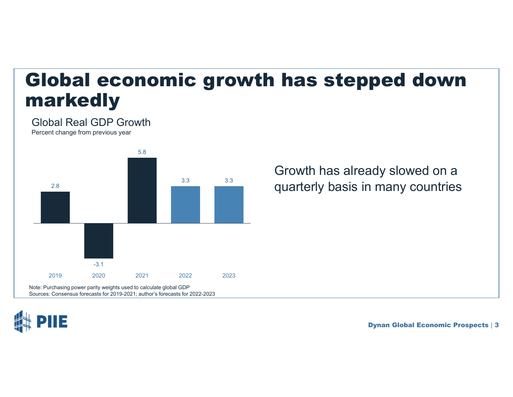## Global economic growth has stepped down markedly

Global Real GDP Growth

Percent change from previous year



Growth has already slowed on a quarterly basis in many countries

IΞ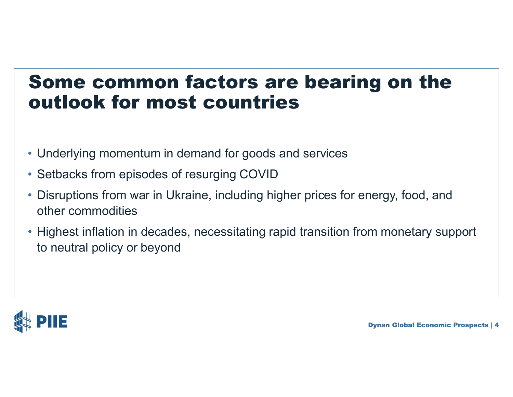#### Some common factors are bearing on the outlook for most countries

- Underlying momentum in demand for goods and services
- Setbacks from episodes of resurging COVID
- Disruptions from war in Ukraine, including higher prices for energy, food, and other commodities
- Highest inflation in decades, necessitating rapid transition from monetary support to neutral policy or beyond

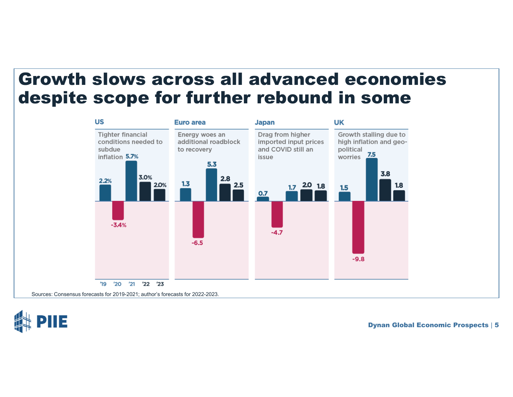#### Growth slows across all advanced economies despite scope for further rebound in some



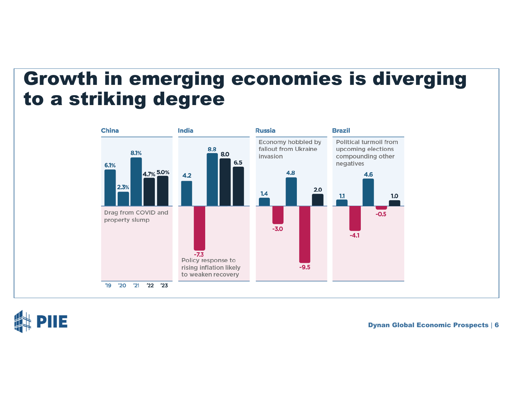#### Growth in emerging economies is diverging to a striking degree



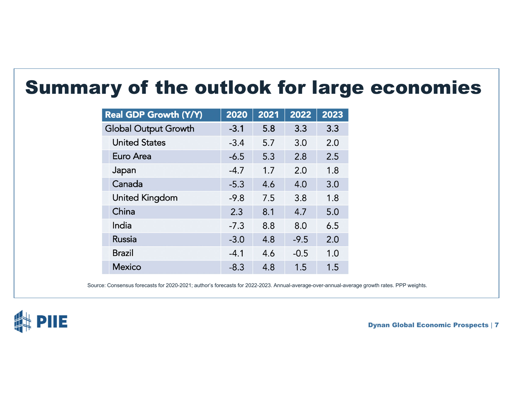#### Summary of the outlook for large economies

| <b>Real GDP Growth (Y/Y)</b> | 2020   | 2021 | 2022   | 2023 |
|------------------------------|--------|------|--------|------|
| <b>Global Output Growth</b>  | $-3.1$ | 5.8  | 3.3    | 3.3  |
| <b>United States</b>         | $-3.4$ | 5.7  | 3.0    | 2.0  |
| Euro Area                    | $-6.5$ | 5.3  | 2.8    | 2.5  |
| Japan                        | $-4.7$ | 1.7  | 2.0    | 1.8  |
| Canada                       | $-5.3$ | 4.6  | 4.0    | 3.0  |
| <b>United Kingdom</b>        | $-9.8$ | 7.5  | 3.8    | 1.8  |
| China                        | 2.3    | 8.1  | 4.7    | 5.0  |
| India                        | $-7.3$ | 8.8  | 8.0    | 6.5  |
| <b>Russia</b>                | $-3.0$ | 4.8  | $-9.5$ | 2.0  |
| <b>Brazil</b>                | $-4.1$ | 4.6  | $-0.5$ | 1.0  |
| <b>Mexico</b>                | $-8.3$ | 4.8  | 1.5    | 1.5  |

Source: Consensus forecasts for 2020-2021; author's forecasts for 2022-2023. Annual-average-over-annual-average growth rates. PPP weights.

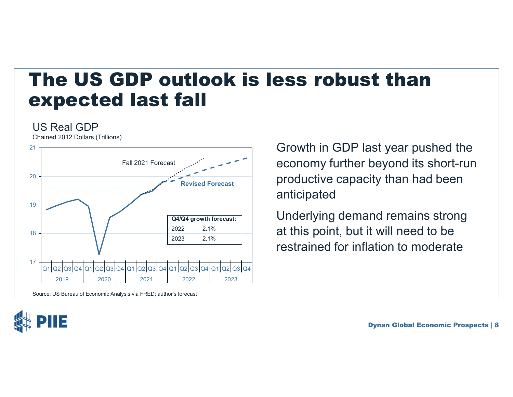#### The US GDP outlook is less robust than expected last fall

#### US Real GDP

Chained 2012 Dollars (Trillions)



Source: US Bureau of Economic Analysis via FRED; author's forecast

Growth in GDP last year pushed the economy further beyond its short-run productive capacity than had been anticipated

Underlying demand remains strong at this point, but it will need to be restrained for inflation to moderate

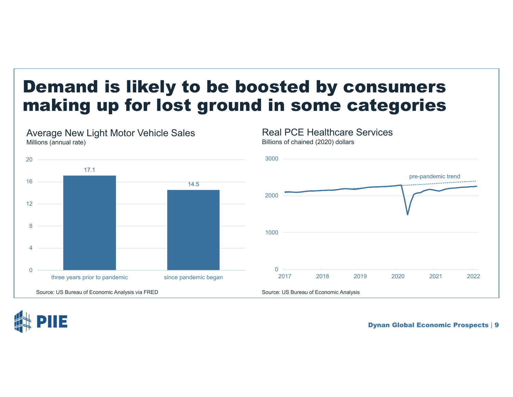#### Demand is likely to be boosted by consumers making up for lost ground in some categories

Real PCE Healthcare Services

Billions of chained (2020) dollars



Average New Light Motor Vehicle Sales Millions (annual rate)

Dynan Global Economic Prospects | 9

pre-pandemic trend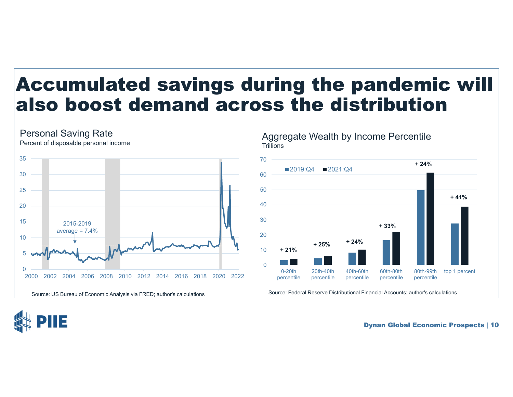#### Accumulated savings during the pandemic will also boost demand across the distribution



Aggregate Wealth by Income Percentile<br>Trillions 70**+ 24%**2019:Q4 2021:Q4 6050**+ 41%**4030**+ 33%**20 **+ 24% + 25%**10**+ 21%The Co**  $\overline{0}$ 0-20th60th-80th20th-40th40th-60th80th-99thtop 1 percent percentile percentile percentile percentile percentile

Source: US Bureau of Economic Analysis via FRED; author's calculations Source: Federal Reserve Distributional Financial Accounts; author's calculations

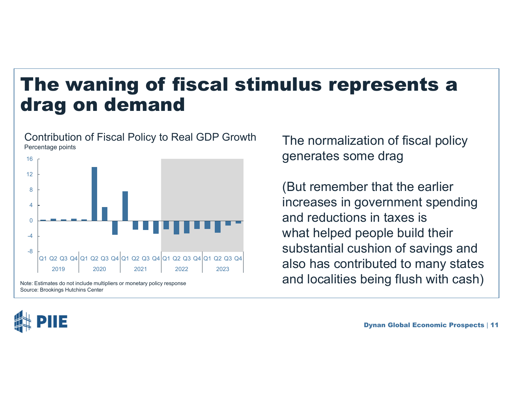#### The waning of fiscal stimulus represents a drag on demand

Contribution of Fiscal Policy to Real GDP Growth Contribution of Fiscal Policy to Real GDP Growth The normalization of fiscal policy



Source: Brookings Hutchins Center



generates some drag

(But remember that the earlier increases in government spending and reductions in taxes is what helped people build their substantial cushion of savings and also has contributed to many states Note: Estimates do not include multipliers or monetary policy response **and localities being flush with cash**)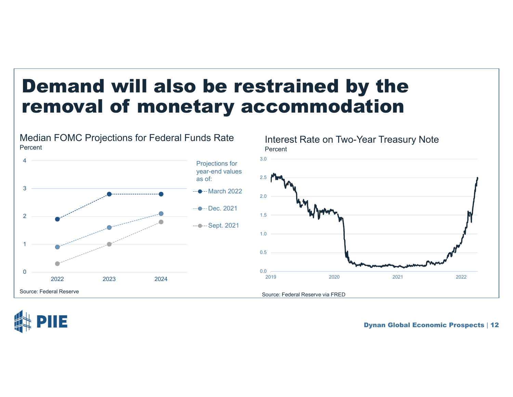## Demand will also be restrained by the removal of monetary accommodation



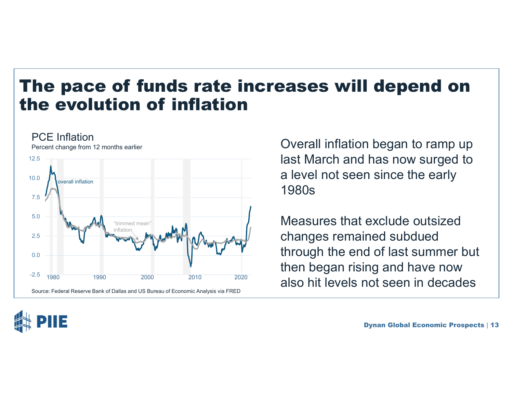#### The pace of funds rate increases will depend on the evolution of inflation



last March and has now surged to a level not seen since the early 1980s

Measures that exclude outsized changes remained subdued through the end of last summer but then began rising and have now also hit levels not seen in decades

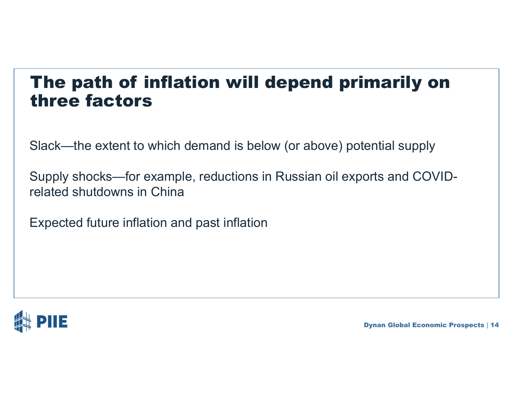#### The path of inflation will depend primarily on three factors

Slack—the extent to which demand is below (or above) potential supply

Supply shocks—for example, reductions in Russian oil exports and COVIDrelated shutdowns in China

Expected future inflation and past inflation

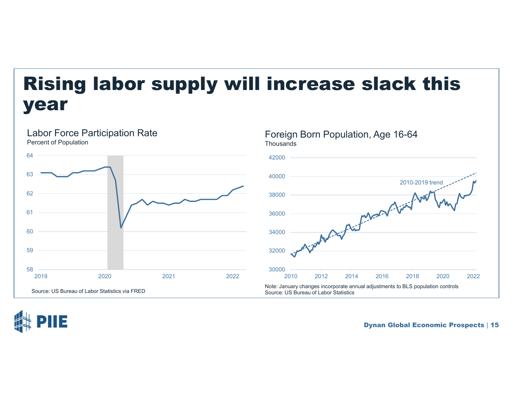# Rising labor supply will increase slack this year



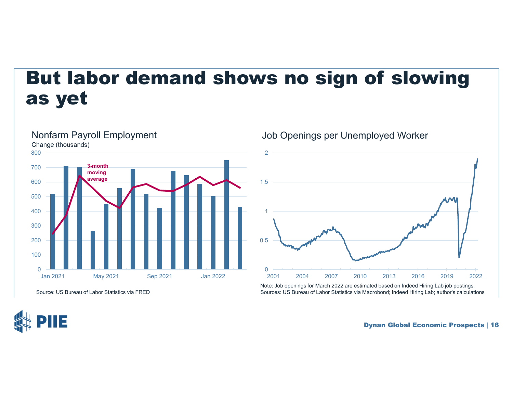## But labor demand shows no sign of slowing as yet



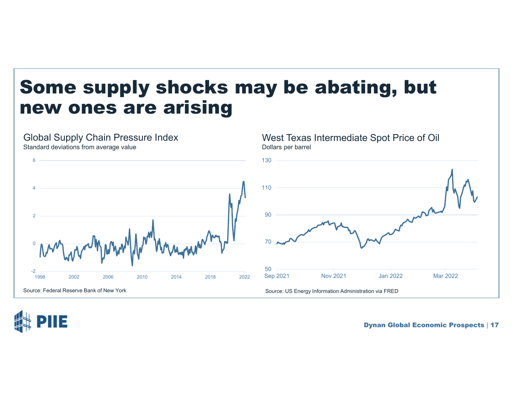## Some supply shocks may be abating, but new ones are arising

Global Supply Chain Pressure Index Standard deviations from average value West Texas Intermediate Spot Price of Oil Dollars per barrel Source: Federal Reserve Bank of New York Source: US Energy Information Administration via FRED 507090110130Sep 2021 Nov 2021 Jan 2022 Mar 2022 -2 02461998 2002 2006 2010 2014 2018 2022

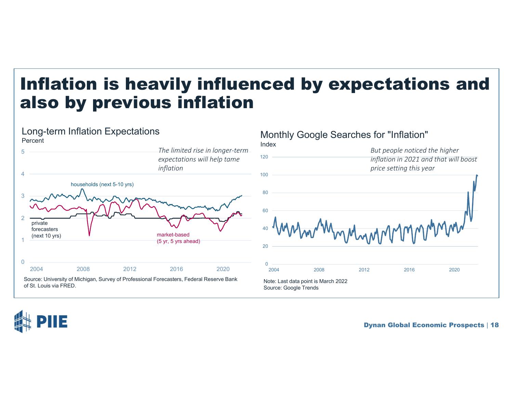#### Inflation is heavily influenced by expectations and also by previous inflation



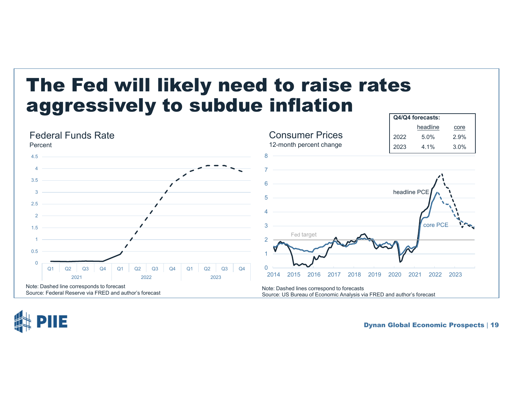## The Fed will likely need to raise rates aggressively to subdue inflation



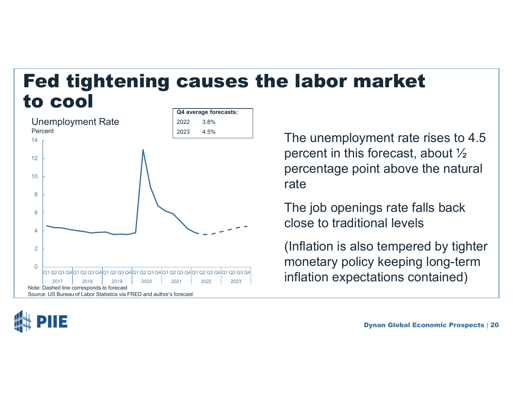#### Fed tightening causes the labor market to cool**Q4 average forecasts:**





 $\frac{2023}{4.5\%}$  The unemployment rate rises to 4.5 percent in this forecast, about ½ percentage point above the natural rate

> The job openings rate falls back close to traditional levels

(Inflation is also tempered by tighter monetary policy keeping long-term inflation expectations contained)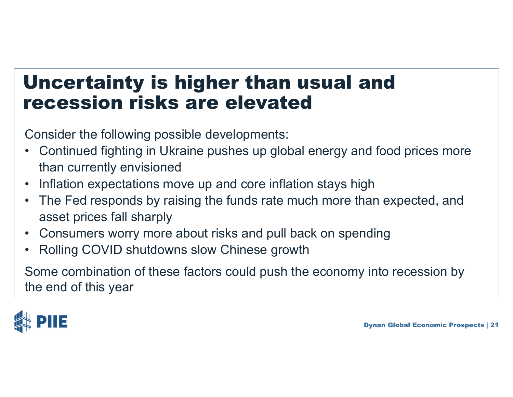## Uncertainty is higher than usual and recession risks are elevated

Consider the following possible developments:

- • Continued fighting in Ukraine pushes up global energy and food prices more than currently envisioned
- •Inflation expectations move up and core inflation stays high
- $\bullet$  The Fed responds by raising the funds rate much more than expected, and asset prices fall sharply
- •Consumers worry more about risks and pull back on spending
- •Rolling COVID shutdowns slow Chinese growth

Some combination of these factors could push the economy into recession by the end of this year